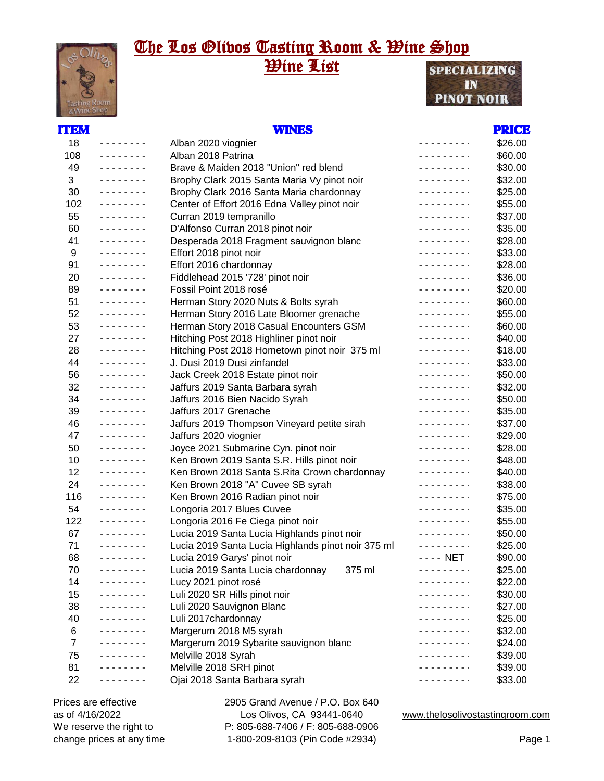### The Los <u>Glivos Tasting Room & Wine Shop</u> **Wine List SPECIALIZING**

IN **PINOT NOIR** 

| ITEM |            | <b>WINES</b>                                       |                           | <b>PRICE</b> |
|------|------------|----------------------------------------------------|---------------------------|--------------|
| 18   |            | Alban 2020 viognier                                | - - - - - - - - <b>-</b>  | \$26.00      |
| 108  | <u>.</u>   | Alban 2018 Patrina                                 | .                         | \$60.00      |
| 49   | .          | Brave & Maiden 2018 "Union" red blend              | .                         | \$30.00      |
| 3    | .          | Brophy Clark 2015 Santa Maria Vy pinot noir        | .                         | \$32.00      |
| 30   | .          | Brophy Clark 2016 Santa Maria chardonnay           |                           | \$25.00      |
| 102  | .          | Center of Effort 2016 Edna Valley pinot noir       |                           | \$55.00      |
| 55   | <u>.</u>   | Curran 2019 tempranillo                            |                           | \$37.00      |
| 60   | <u>.</u>   | D'Alfonso Curran 2018 pinot noir                   |                           | \$35.00      |
| 41   | <u>.</u>   | Desperada 2018 Fragment sauvignon blanc            |                           | \$28.00      |
| 9    | <u>.</u>   | Effort 2018 pinot noir                             |                           | \$33.00      |
| 91   | <u>.</u>   | Effort 2016 chardonnay                             | .                         | \$28.00      |
| 20   | <u>.</u>   | Fiddlehead 2015 '728' pinot noir                   | .                         | \$36.00      |
| 89   | <u>.</u>   | Fossil Point 2018 rosé                             |                           | \$20.00      |
| 51   | <u>.</u>   | Herman Story 2020 Nuts & Bolts syrah               | <u>.</u>                  | \$60.00      |
| 52   | .          | Herman Story 2016 Late Bloomer grenache            | <u> - - - - - - - - .</u> | \$55.00      |
| 53   | <u>.</u>   | Herman Story 2018 Casual Encounters GSM            | .                         | \$60.00      |
| 27   | <u>.</u>   | Hitching Post 2018 Highliner pinot noir            | .                         | \$40.00      |
| 28   | <u>.</u>   | Hitching Post 2018 Hometown pinot noir 375 ml      | .                         | \$18.00      |
| 44   | <u>.</u>   | J. Dusi 2019 Dusi zinfandel                        | .                         | \$33.00      |
| 56   | <u>.</u>   | Jack Creek 2018 Estate pinot noir                  |                           | \$50.00      |
| 32   | <u>.</u>   | Jaffurs 2019 Santa Barbara syrah                   | .                         | \$32.00      |
| 34   | <u>.</u>   | Jaffurs 2016 Bien Nacido Syrah                     |                           | \$50.00      |
| 39   | <u>.</u>   | Jaffurs 2017 Grenache                              |                           | \$35.00      |
| 46   | <u>.</u>   | Jaffurs 2019 Thompson Vineyard petite sirah        |                           | \$37.00      |
| 47   | <u>.</u>   | Jaffurs 2020 viognier                              |                           | \$29.00      |
| 50   | <u>.</u>   | Joyce 2021 Submarine Cyn. pinot noir               |                           | \$28.00      |
| 10   | <u>.</u>   | Ken Brown 2019 Santa S.R. Hills pinot noir         |                           | \$48.00      |
| 12   | <u>.</u>   | Ken Brown 2018 Santa S.Rita Crown chardonnay       |                           | \$40.00      |
| 24   | <u>.</u>   | Ken Brown 2018 "A" Cuvee SB syrah                  |                           | \$38.00      |
| 116  | <u>.</u>   | Ken Brown 2016 Radian pinot noir                   |                           | \$75.00      |
| 54   | <u>.</u>   | Longoria 2017 Blues Cuvee                          |                           | \$35.00      |
| 122  | <u>.</u>   | Longoria 2016 Fe Ciega pinot noir                  |                           | \$55.00      |
| 67   | <u>.</u>   | Lucia 2019 Santa Lucia Highlands pinot noir        |                           | \$50.00      |
| 71   |            | Lucia 2019 Santa Lucia Highlands pinot noir 375 ml |                           | \$25.00      |
| 68   | .          | Lucia 2019 Garys' pinot noir                       | - - - - NET               | \$90.00      |
| 70   | -------    | 375 ml<br>Lucia 2019 Santa Lucia chardonnay        |                           | \$25.00      |
| 14   | --------   | Lucy 2021 pinot rosé                               | .                         | \$22.00      |
| 15   | .          | Luli 2020 SR Hills pinot noir                      |                           | \$30.00      |
| 38   | .          | Luli 2020 Sauvignon Blanc                          |                           | \$27.00      |
| 40   | . <u>.</u> | Luli 2017chardonnay                                |                           | \$25.00      |
| 6    |            | Margerum 2018 M5 syrah                             |                           | \$32.00      |
| 7    |            | Margerum 2019 Sybarite sauvignon blanc             |                           | \$24.00      |
| 75   |            | Melville 2018 Syrah                                |                           | \$39.00      |
| 81   |            | Melville 2018 SRH pinot                            |                           | \$39.00      |
| 22   |            | Ojai 2018 Santa Barbara syrah                      |                           | \$33.00      |

Prices are effective as of 4/16/2022 We reserve the right to change prices at any time 2905 Grand Avenue / P.O. Box 640 Los Olivos, CA 93441-0640 P: 805-688-7406 / F: 805-688-0906 1-800-209-8103 (Pin Code #2934)

www.thelosolivostastingroom.com